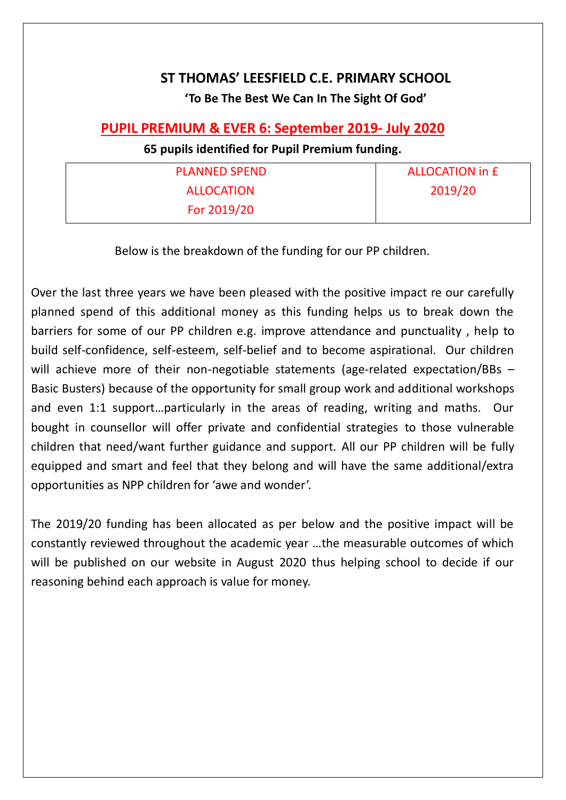## **ST THOMAS' LEESFIELD C.E. PRIMARY SCHOOL 'To Be The Best We Can In The Sight Of God'**

## **PUPIL PREMIUM & EVER 6: September 2019- July 2020**

## **65 pupils identified for Pupil Premium funding.**

| <b>PLANNED SPEND</b> | <b>ALLOCATION in £</b> |
|----------------------|------------------------|
| <b>ALLOCATION</b>    | 2019/20                |
| For 2019/20          |                        |

Below is the breakdown of the funding for our PP children.

Over the last three years we have been pleased with the positive impact re our carefully planned spend of this additional money as this funding helps us to break down the barriers for some of our PP children e.g. improve attendance and punctuality , help to build self-confidence, self-esteem, self-belief and to become aspirational. Our children will achieve more of their non-negotiable statements (age-related expectation/BBs – Basic Busters) because of the opportunity for small group work and additional workshops and even 1:1 support…particularly in the areas of reading, writing and maths. Our bought in counsellor will offer private and confidential strategies to those vulnerable children that need/want further guidance and support. All our PP children will be fully equipped and smart and feel that they belong and will have the same additional/extra opportunities as NPP children for 'awe and wonder'.

The 2019/20 funding has been allocated as per below and the positive impact will be constantly reviewed throughout the academic year …the measurable outcomes of which will be published on our website in August 2020 thus helping school to decide if our reasoning behind each approach is value for money.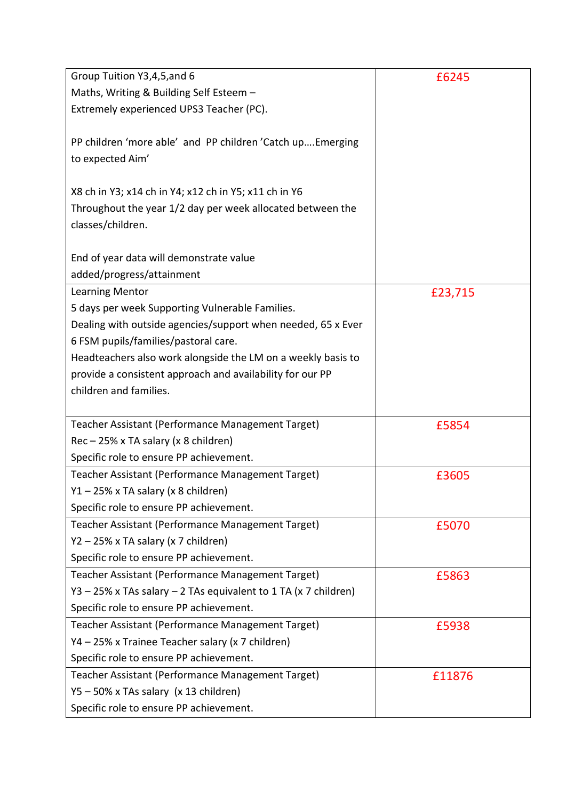| Group Tuition Y3,4,5, and 6                                     | £6245   |
|-----------------------------------------------------------------|---------|
| Maths, Writing & Building Self Esteem -                         |         |
| Extremely experienced UPS3 Teacher (PC).                        |         |
|                                                                 |         |
| PP children 'more able' and PP children 'Catch upEmerging       |         |
| to expected Aim'                                                |         |
|                                                                 |         |
| X8 ch in Y3; x14 ch in Y4; x12 ch in Y5; x11 ch in Y6           |         |
| Throughout the year 1/2 day per week allocated between the      |         |
| classes/children.                                               |         |
|                                                                 |         |
| End of year data will demonstrate value                         |         |
| added/progress/attainment                                       |         |
| Learning Mentor                                                 | £23,715 |
| 5 days per week Supporting Vulnerable Families.                 |         |
| Dealing with outside agencies/support when needed, 65 x Ever    |         |
| 6 FSM pupils/families/pastoral care.                            |         |
| Headteachers also work alongside the LM on a weekly basis to    |         |
| provide a consistent approach and availability for our PP       |         |
| children and families.                                          |         |
|                                                                 |         |
| Teacher Assistant (Performance Management Target)               | £5854   |
| Rec - 25% x TA salary (x 8 children)                            |         |
| Specific role to ensure PP achievement.                         |         |
| Teacher Assistant (Performance Management Target)               | £3605   |
| Y1 - 25% x TA salary (x 8 children)                             |         |
| Specific role to ensure PP achievement.                         |         |
| Teacher Assistant (Performance Management Target)               | £5070   |
| Y2 - 25% x TA salary (x 7 children)                             |         |
| Specific role to ensure PP achievement.                         |         |
| Teacher Assistant (Performance Management Target)               | £5863   |
| Y3 - 25% x TAs salary - 2 TAs equivalent to 1 TA (x 7 children) |         |
| Specific role to ensure PP achievement.                         |         |
| Teacher Assistant (Performance Management Target)               | £5938   |
| Y4 - 25% x Trainee Teacher salary (x 7 children)                |         |
| Specific role to ensure PP achievement.                         |         |
| Teacher Assistant (Performance Management Target)               | £11876  |
| Y5 - 50% x TAs salary (x 13 children)                           |         |
| Specific role to ensure PP achievement.                         |         |